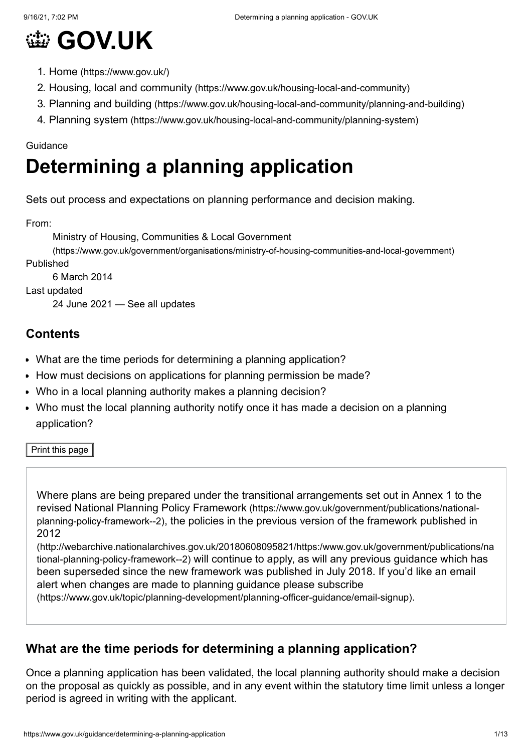

- 1. Home [\(https://www.gov.uk/\)](https://www.gov.uk/)
- 2. Housing, local and community [\(https://www.gov.uk/housing-local-and-community\)](https://www.gov.uk/housing-local-and-community)
- 3. Planning and building [\(https://www.gov.uk/housing-local-and-community/planning-and-building\)](https://www.gov.uk/housing-local-and-community/planning-and-building)
- 4. Planning system [\(https://www.gov.uk/housing-local-and-community/planning-system\)](https://www.gov.uk/housing-local-and-community/planning-system)

#### Guidance

# **Determining a planning application**

Sets out process and expectations on planning performance and decision making.

From:

Ministry of Housing, Communities & Local Government

[\(https://www.gov.uk/government/organisations/ministry-of-housing-communities-and-local-government\)](https://www.gov.uk/government/organisations/ministry-of-housing-communities-and-local-government) Published

6 March 2014

Last updated

24 June 2021 — See all [updates](#page-10-0)

#### **Contents**

- [What are the time periods for determining a planning application?](#page-0-0)
- [How must decisions on applications for planning permission be made?](#page-2-0)
- [Who in a local planning authority makes a planning decision?](#page-6-0)
- [Who must the local planning authority notify once it has made a decision on a planning](#page-7-0) application?

Print this page

Where plans are being prepared under the transitional arrangements set out in Annex 1 to the revised National Planning Policy Framework (https://www.gov.uk/government/publications/nationalplanning-policy-framework--2)[, the policies in the previous version of the framework published in](https://www.gov.uk/government/publications/national-planning-policy-framework--2) 2012

[\(http://webarchive.nationalarchives.gov.uk/20180608095821/https:/www.gov.uk/government/publications/na](http://webarchive.nationalarchives.gov.uk/20180608095821/https:/www.gov.uk/government/publications/national-planning-policy-framework--2) tional-planning-policy-framework--2) will continue to apply, as will any previous guidance which has been superseded since the new framework was published in July 2018. If you'd like an email alert when changes are made to planning guidance please subscribe

[\(https://www.gov.uk/topic/planning-development/planning-officer-guidance/email-signup\)](https://www.gov.uk/topic/planning-development/planning-officer-guidance/email-signup).

# <span id="page-0-0"></span>**What are the time periods for determining a planning application?**

Once a planning application has been validated, the local planning authority should make a decision on the proposal as quickly as possible, and in any event within the statutory time limit unless a longer period is agreed in writing with the applicant.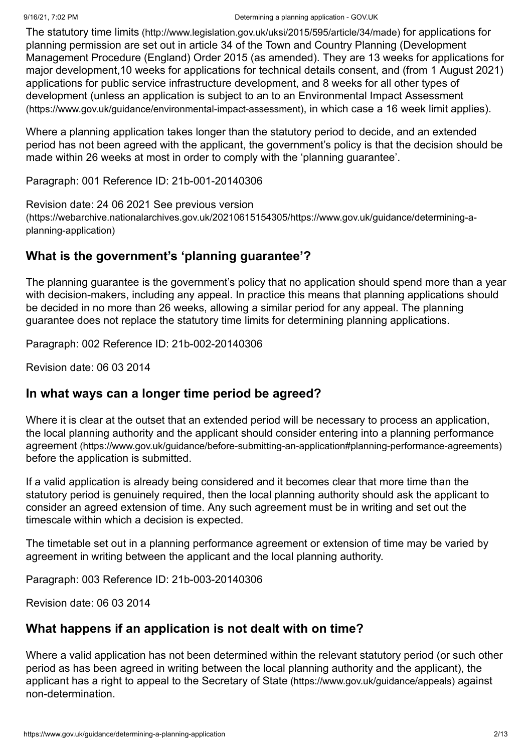The statutory time limits [\(http://www.legislation.gov.uk/uksi/2015/595/article/34/made\)](http://www.legislation.gov.uk/uksi/2015/595/article/34/made) for applications for planning permission are set out in article 34 of the Town and Country Planning (Development Management Procedure (England) Order 2015 (as amended). They are 13 weeks for applications for major development,10 weeks for applications for technical details consent, and (from 1 August 2021) applications for public service infrastructure development, and 8 weeks for all other types of [development \(unless an application is subject to an to an Environmental Impact Assessment](https://www.gov.uk/guidance/environmental-impact-assessment) (https://www.gov.uk/guidance/environmental-impact-assessment), in which case a 16 week limit applies).

Where a planning application takes longer than the statutory period to decide, and an extended period has not been agreed with the applicant, the government's policy is that the decision should be made within 26 weeks at most in order to comply with the 'planning guarantee'.

Paragraph: 001 Reference ID: 21b-001-20140306

Revision date: 24 06 2021 See previous version

[\(https://webarchive.nationalarchives.gov.uk/20210615154305/https://www.gov.uk/guidance/determining-a](https://webarchive.nationalarchives.gov.uk/20210615154305/https://www.gov.uk/guidance/determining-a-planning-application)planning-application)

# **What is the government's 'planning guarantee'?**

The planning guarantee is the government's policy that no application should spend more than a year with decision-makers, including any appeal. In practice this means that planning applications should be decided in no more than 26 weeks, allowing a similar period for any appeal. The planning guarantee does not replace the statutory time limits for determining planning applications.

Paragraph: 002 Reference ID: 21b-002-20140306

Revision date: 06 03 2014

# **In what ways can a longer time period be agreed?**

Where it is clear at the outset that an extended period will be necessary to process an application, [the local planning authority and the applicant should consider entering into a planning performance](https://www.gov.uk/guidance/before-submitting-an-application#planning-performance-agreements) agreement (https://www.gov.uk/guidance/before-submitting-an-application#planning-performance-agreements) before the application is submitted.

If a valid application is already being considered and it becomes clear that more time than the statutory period is genuinely required, then the local planning authority should ask the applicant to consider an agreed extension of time. Any such agreement must be in writing and set out the timescale within which a decision is expected.

The timetable set out in a planning performance agreement or extension of time may be varied by agreement in writing between the applicant and the local planning authority.

Paragraph: 003 Reference ID: 21b-003-20140306

Revision date: 06 03 2014

# **What happens if an application is not dealt with on time?**

Where a valid application has not been determined within the relevant statutory period (or such other period as has been agreed in writing between the local planning authority and the applicant), the applicant has a [right to appeal to the Secretary of State](https://www.gov.uk/guidance/appeals) (https://www.gov.uk/guidance/appeals) against non-determination.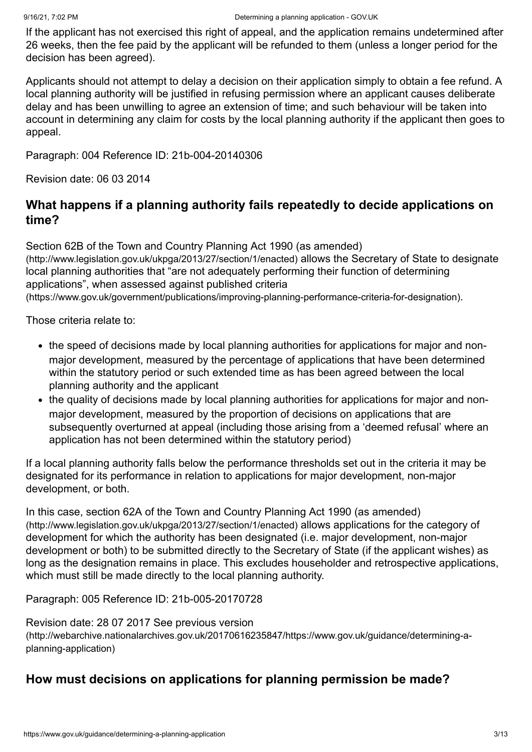If the applicant has not exercised this right of appeal, and the application remains undetermined after 26 weeks, then the fee paid by the applicant will be refunded to them (unless a longer period for the decision has been agreed).

Applicants should not attempt to delay a decision on their application simply to obtain a fee refund. A local planning authority will be justified in refusing permission where an applicant causes deliberate delay and has been unwilling to agree an extension of time; and such behaviour will be taken into account in determining any claim for costs by the local planning authority if the applicant then goes to appeal.

Paragraph: 004 Reference ID: 21b-004-20140306

Revision date: 06 03 2014

# **What happens if a planning authority fails repeatedly to decide applications on time?**

[Section 62B of the Town and Country Planning Act 1990 \(as amended\)](http://www.legislation.gov.uk/ukpga/2013/27/section/1/enacted) (http://www.legislation.gov.uk/ukpga/2013/27/section/1/enacted) allows the Secretary of State to designate local planning authorities that "are not adequately performing their function of determining applications", when assessed against published criteria [\(https://www.gov.uk/government/publications/improving-planning-performance-criteria-for-designation\)](https://www.gov.uk/government/publications/improving-planning-performance-criteria-for-designation).

Those criteria relate to:

- the speed of decisions made by local planning authorities for applications for major and nonmajor development, measured by the percentage of applications that have been determined within the statutory period or such extended time as has been agreed between the local planning authority and the applicant
- the quality of decisions made by local planning authorities for applications for major and nonmajor development, measured by the proportion of decisions on applications that are subsequently overturned at appeal (including those arising from a 'deemed refusal' where an application has not been determined within the statutory period)

If a local planning authority falls below the performance thresholds set out in the criteria it may be designated for its performance in relation to applications for major development, non-major development, or both.

[In this case, section 62A of the Town and Country Planning Act 1990 \(as amended\)](http://www.legislation.gov.uk/ukpga/2013/27/section/1/enacted) (http://www.legislation.gov.uk/ukpga/2013/27/section/1/enacted) allows applications for the category of development for which the authority has been designated (i.e. major development, non-major development or both) to be submitted directly to the Secretary of State (if the applicant wishes) as long as the designation remains in place. This excludes householder and retrospective applications, which must still be made directly to the local planning authority.

Paragraph: 005 Reference ID: 21b-005-20170728

Revision date: 28 07 2017 See previous version

[\(http://webarchive.nationalarchives.gov.uk/20170616235847/https://www.gov.uk/guidance/determining-a](http://webarchive.nationalarchives.gov.uk/20170616235847/https://www.gov.uk/guidance/determining-a-planning-application)planning-application)

#### <span id="page-2-0"></span>**How must decisions on applications for planning permission be made?**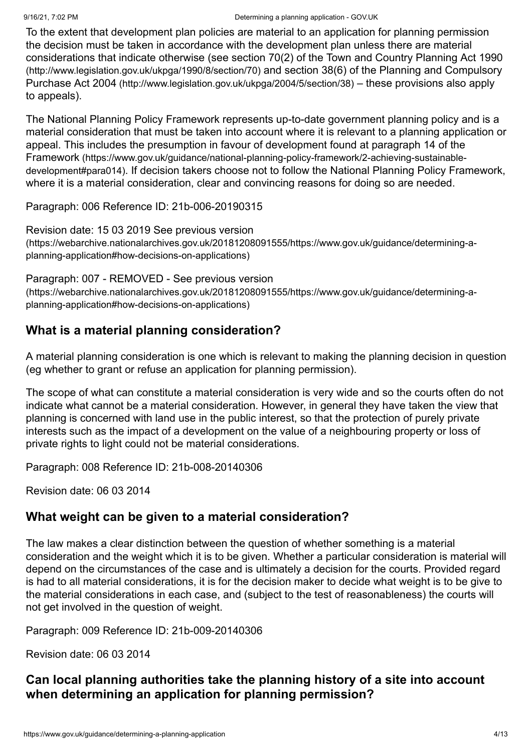To the extent that development plan policies are material to an application for planning permission the decision must be taken in accordance with the development plan unless there are material [considerations that indicate otherwise \(see section 70\(2\) of the Town and Country Planning Act 1990](http://www.legislation.gov.uk/ukpga/1990/8/section/70) (http://www.legislation.gov.uk/ukpga/1990/8/section/70) [and section 38\(6\) of the Planning and Compulsory](http://www.legislation.gov.uk/ukpga/2004/5/section/38) Purchase Act 2004 (http://www.legislation.gov.uk/ukpga/2004/5/section/38) – these provisions also apply to appeals).

The National Planning Policy Framework represents up-to-date government planning policy and is a material consideration that must be taken into account where it is relevant to a planning application or [appeal. This includes the presumption in favour of development found at paragraph 14 of the](https://www.gov.uk/guidance/national-planning-policy-framework/2-achieving-sustainable-development#para014) Framework (https://www.gov.uk/guidance/national-planning-policy-framework/2-achieving-sustainabledevelopment#para014). If decision takers choose not to follow the National Planning Policy Framework, where it is a material consideration, clear and convincing reasons for doing so are needed.

Paragraph: 006 Reference ID: 21b-006-20190315

Revision date: 15 03 2019 See previous version [\(https://webarchive.nationalarchives.gov.uk/20181208091555/https://www.gov.uk/guidance/determining-a](https://webarchive.nationalarchives.gov.uk/20181208091555/https://www.gov.uk/guidance/determining-a-planning-application#how-decisions-on-applications)planning-application#how-decisions-on-applications)

Paragraph: 007 - REMOVED - See previous version [\(https://webarchive.nationalarchives.gov.uk/20181208091555/https://www.gov.uk/guidance/determining-a](https://webarchive.nationalarchives.gov.uk/20181208091555/https://www.gov.uk/guidance/determining-a-planning-application#how-decisions-on-applications)planning-application#how-decisions-on-applications)

# **What is a material planning consideration?**

A material planning consideration is one which is relevant to making the planning decision in question (eg whether to grant or refuse an application for planning permission).

The scope of what can constitute a material consideration is very wide and so the courts often do not indicate what cannot be a material consideration. However, in general they have taken the view that planning is concerned with land use in the public interest, so that the protection of purely private interests such as the impact of a development on the value of a neighbouring property or loss of private rights to light could not be material considerations.

Paragraph: 008 Reference ID: 21b-008-20140306

Revision date: 06 03 2014

# **What weight can be given to a material consideration?**

The law makes a clear distinction between the question of whether something is a material consideration and the weight which it is to be given. Whether a particular consideration is material will depend on the circumstances of the case and is ultimately a decision for the courts. Provided regard is had to all material considerations, it is for the decision maker to decide what weight is to be give to the material considerations in each case, and (subject to the test of reasonableness) the courts will not get involved in the question of weight.

Paragraph: 009 Reference ID: 21b-009-20140306

Revision date: 06 03 2014

# **Can local planning authorities take the planning history of a site into account when determining an application for planning permission?**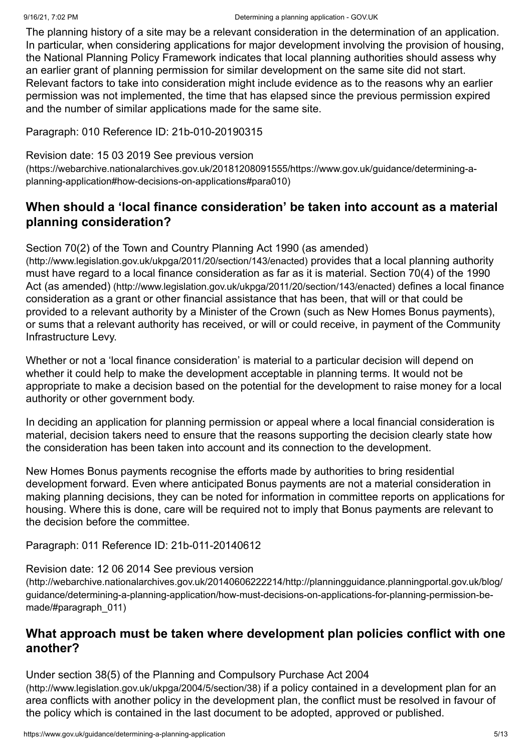The planning history of a site may be a relevant consideration in the determination of an application. In particular, when considering applications for major development involving the provision of housing, the National Planning Policy Framework indicates that local planning authorities should assess why an earlier grant of planning permission for similar development on the same site did not start. Relevant factors to take into consideration might include evidence as to the reasons why an earlier permission was not implemented, the time that has elapsed since the previous permission expired and the number of similar applications made for the same site.

Paragraph: 010 Reference ID: 21b-010-20190315

#### Revision date: 15 03 2019 See previous version

[\(https://webarchive.nationalarchives.gov.uk/20181208091555/https://www.gov.uk/guidance/determining-a](https://webarchive.nationalarchives.gov.uk/20181208091555/https://www.gov.uk/guidance/determining-a-planning-application#how-decisions-on-applications#para010)planning-application#how-decisions-on-applications#para010)

# **When should a 'local finance consideration' be taken into account as a material planning consideration?**

#### [Section 70\(2\) of the Town and Country Planning Act 1990 \(as amended\)](http://www.legislation.gov.uk/ukpga/2011/20/section/143/enacted)

(http://www.legislation.gov.uk/ukpga/2011/20/section/143/enacted) provides that a local planning authority [must have regard to a local finance consideration as far as it is material. Section 70\(4\) of the 1990](http://www.legislation.gov.uk/ukpga/2011/20/section/143/enacted) Act (as amended) (http://www.legislation.gov.uk/ukpga/2011/20/section/143/enacted) defines a local finance consideration as a grant or other financial assistance that has been, that will or that could be provided to a relevant authority by a Minister of the Crown (such as New Homes Bonus payments), or sums that a relevant authority has received, or will or could receive, in payment of the Community Infrastructure Levy.

Whether or not a 'local finance consideration' is material to a particular decision will depend on whether it could help to make the development acceptable in planning terms. It would not be appropriate to make a decision based on the potential for the development to raise money for a local authority or other government body.

In deciding an application for planning permission or appeal where a local financial consideration is material, decision takers need to ensure that the reasons supporting the decision clearly state how the consideration has been taken into account and its connection to the development.

New Homes Bonus payments recognise the efforts made by authorities to bring residential development forward. Even where anticipated Bonus payments are not a material consideration in making planning decisions, they can be noted for information in committee reports on applications for housing. Where this is done, care will be required not to imply that Bonus payments are relevant to the decision before the committee.

Paragraph: 011 Reference ID: 21b-011-20140612

#### Revision date: 12 06 2014 See previous version

[\(http://webarchive.nationalarchives.gov.uk/20140606222214/http://planningguidance.planningportal.gov.uk/blog/](http://webarchive.nationalarchives.gov.uk/20140606222214/http://planningguidance.planningportal.gov.uk/blog/guidance/determining-a-planning-application/how-must-decisions-on-applications-for-planning-permission-be-made/#paragraph_011) guidance/determining-a-planning-application/how-must-decisions-on-applications-for-planning-permission-bemade/#paragraph\_011)

# **What approach must be taken where development plan policies conflict with one another?**

[Under section 38\(5\) of the Planning and Compulsory Purchase Act 2004](http://www.legislation.gov.uk/ukpga/2004/5/section/38) (http://www.legislation.gov.uk/ukpga/2004/5/section/38) if a policy contained in a development plan for an area conflicts with another policy in the development plan, the conflict must be resolved in favour of the policy which is contained in the last document to be adopted, approved or published.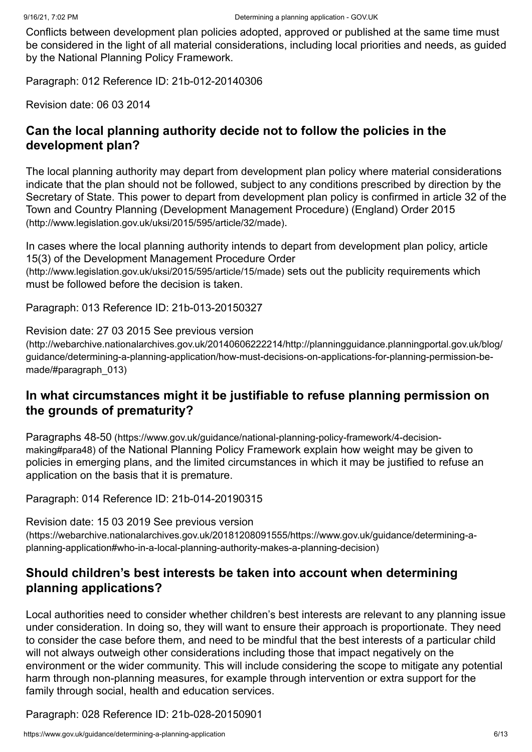Conflicts between development plan policies adopted, approved or published at the same time must be considered in the light of all material considerations, including local priorities and needs, as guided by the National Planning Policy Framework.

Paragraph: 012 Reference ID: 21b-012-20140306

Revision date: 06 03 2014

## **Can the local planning authority decide not to follow the policies in the development plan?**

The local planning authority may depart from development plan policy where material considerations indicate that the plan should not be followed, subject to any conditions prescribed by direction by the [Secretary of State. This power to depart from development plan policy is confirmed in article 32 of the](http://www.legislation.gov.uk/uksi/2015/595/article/32/made) Town and Country Planning (Development Management Procedure) (England) Order 2015 (http://www.legislation.gov.uk/uksi/2015/595/article/32/made).

[In cases where the local planning authority intends to depart from development plan policy, article](http://www.legislation.gov.uk/uksi/2015/595/article/15/made) 15(3) of the Development Management Procedure Order

(http://www.legislation.gov.uk/uksi/2015/595/article/15/made) sets out the publicity requirements which must be followed before the decision is taken.

Paragraph: 013 Reference ID: 21b-013-20150327

#### Revision date: 27 03 2015 See previous version

[\(http://webarchive.nationalarchives.gov.uk/20140606222214/http://planningguidance.planningportal.gov.uk/blog/](http://webarchive.nationalarchives.gov.uk/20140606222214/http://planningguidance.planningportal.gov.uk/blog/guidance/determining-a-planning-application/how-must-decisions-on-applications-for-planning-permission-be-made/#paragraph_013) guidance/determining-a-planning-application/how-must-decisions-on-applications-for-planning-permission-bemade/#paragraph\_013)

# **In what circumstances might it be justifiable to refuse planning permission on the grounds of prematurity?**

Paragraphs 48-50 (https://www.gov.uk/guidance/national-planning-policy-framework/4-decisionmaking#para48) [of the National Planning Policy Framework explain how weight may be gi](https://www.gov.uk/guidance/national-planning-policy-framework/4-decision-making#para48)ven to policies in emerging plans, and the limited circumstances in which it may be justified to refuse an application on the basis that it is premature.

Paragraph: 014 Reference ID: 21b-014-20190315

Revision date: 15 03 2019 See previous version [\(https://webarchive.nationalarchives.gov.uk/20181208091555/https://www.gov.uk/guidance/determining-a](https://webarchive.nationalarchives.gov.uk/20181208091555/https://www.gov.uk/guidance/determining-a-planning-application#who-in-a-local-planning-authority-makes-a-planning-decision)planning-application#who-in-a-local-planning-authority-makes-a-planning-decision)

# **Should children's best interests be taken into account when determining planning applications?**

Local authorities need to consider whether children's best interests are relevant to any planning issue under consideration. In doing so, they will want to ensure their approach is proportionate. They need to consider the case before them, and need to be mindful that the best interests of a particular child will not always outweigh other considerations including those that impact negatively on the environment or the wider community. This will include considering the scope to mitigate any potential harm through non-planning measures, for example through intervention or extra support for the family through social, health and education services.

Paragraph: 028 Reference ID: 21b-028-20150901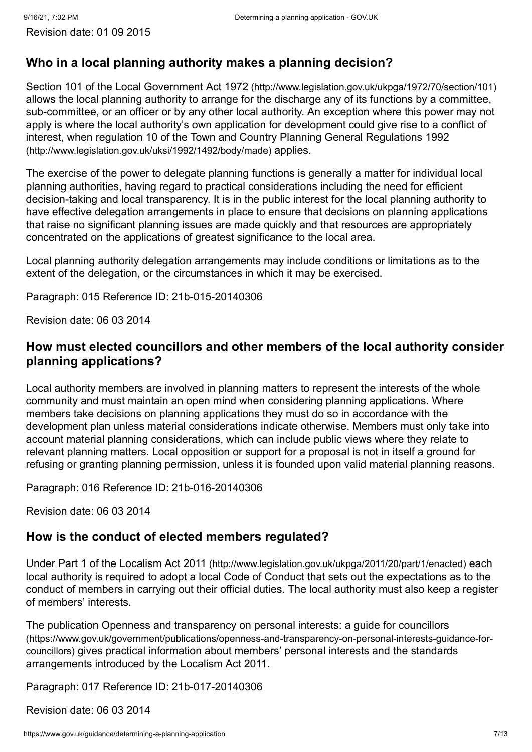Revision date: 01 09 2015

# <span id="page-6-0"></span>**Who in a local planning authority makes a planning decision?**

Section 101 of the Local Government Act 1972 [\(http://www.legislation.gov.uk/ukpga/1972/70/section/101\)](http://www.legislation.gov.uk/ukpga/1972/70/section/101) allows the local planning authority to arrange for the discharge any of its functions by a committee, sub-committee, or an officer or by any other local authority. An exception where this power may not apply is where the local authority's own application for development could give rise to a conflict of [interest, when regulation 10 of the Town and Country Planning General Regulations 1992](http://www.legislation.gov.uk/uksi/1992/1492/body/made) (http://www.legislation.gov.uk/uksi/1992/1492/body/made) applies.

The exercise of the power to delegate planning functions is generally a matter for individual local planning authorities, having regard to practical considerations including the need for efficient decision-taking and local transparency. It is in the public interest for the local planning authority to have effective delegation arrangements in place to ensure that decisions on planning applications that raise no significant planning issues are made quickly and that resources are appropriately concentrated on the applications of greatest significance to the local area.

Local planning authority delegation arrangements may include conditions or limitations as to the extent of the delegation, or the circumstances in which it may be exercised.

Paragraph: 015 Reference ID: 21b-015-20140306

Revision date: 06 03 2014

#### **How must elected councillors and other members of the local authority consider planning applications?**

Local authority members are involved in planning matters to represent the interests of the whole community and must maintain an open mind when considering planning applications. Where members take decisions on planning applications they must do so in accordance with the development plan unless material considerations indicate otherwise. Members must only take into account material planning considerations, which can include public views where they relate to relevant planning matters. Local opposition or support for a proposal is not in itself a ground for refusing or granting planning permission, unless it is founded upon valid material planning reasons.

Paragraph: 016 Reference ID: 21b-016-20140306

Revision date: 06 03 2014

#### **How is the conduct of elected members regulated?**

Under Part 1 of the Localism Act 2011 [\(http://www.legislation.gov.uk/ukpga/2011/20/part/1/enacted\)](http://www.legislation.gov.uk/ukpga/2011/20/part/1/enacted) each local authority is required to adopt a local Code of Conduct that sets out the expectations as to the conduct of members in carrying out their official duties. The local authority must also keep a register of members' interests.

[The publication Openness and transparency on personal interests: a guide for councillors](https://www.gov.uk/government/publications/openness-and-transparency-on-personal-interests-guidance-for-councillors) (https://www.gov.uk/government/publications/openness-and-transparency-on-personal-interests-guidance-forcouncillors) gives practical information about members' personal interests and the standards arrangements introduced by the Localism Act 2011.

Paragraph: 017 Reference ID: 21b-017-20140306

Revision date: 06 03 2014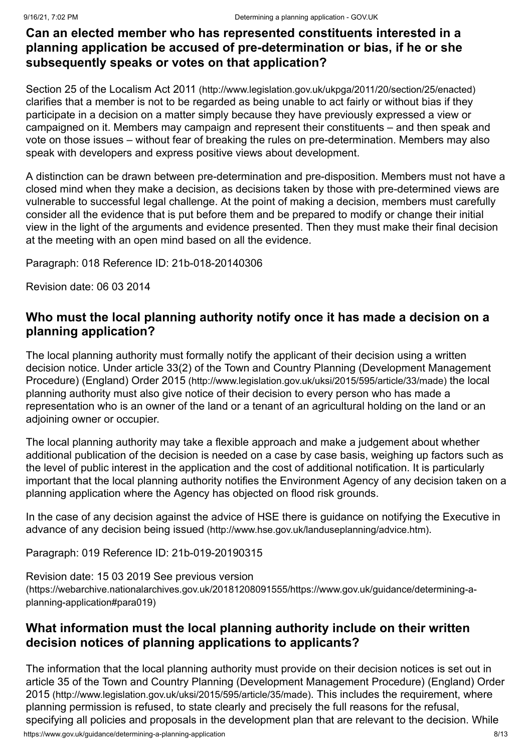# **Can an elected member who has represented constituents interested in a planning application be accused of pre-determination or bias, if he or she subsequently speaks or votes on that application?**

Section 25 of the Localism Act 2011 [\(http://www.legislation.gov.uk/ukpga/2011/20/section/25/enacted\)](http://www.legislation.gov.uk/ukpga/2011/20/section/25/enacted) clarifies that a member is not to be regarded as being unable to act fairly or without bias if they participate in a decision on a matter simply because they have previously expressed a view or campaigned on it. Members may campaign and represent their constituents – and then speak and vote on those issues – without fear of breaking the rules on pre-determination. Members may also speak with developers and express positive views about development.

A distinction can be drawn between pre-determination and pre-disposition. Members must not have a closed mind when they make a decision, as decisions taken by those with pre-determined views are vulnerable to successful legal challenge. At the point of making a decision, members must carefully consider all the evidence that is put before them and be prepared to modify or change their initial view in the light of the arguments and evidence presented. Then they must make their final decision at the meeting with an open mind based on all the evidence.

Paragraph: 018 Reference ID: 21b-018-20140306

Revision date: 06 03 2014

## <span id="page-7-0"></span>**Who must the local planning authority notify once it has made a decision on a planning application?**

The local planning authority must formally notify the applicant of their decision using a written [decision notice. Under article 33\(2\) of the Town and Country Planning \(Development Management](http://www.legislation.gov.uk/uksi/2015/595/article/33/made) Procedure) (England) Order 2015 (http://www.legislation.gov.uk/uksi/2015/595/article/33/made) the local planning authority must also give notice of their decision to every person who has made a representation who is an owner of the land or a tenant of an agricultural holding on the land or an adjoining owner or occupier.

The local planning authority may take a flexible approach and make a judgement about whether additional publication of the decision is needed on a case by case basis, weighing up factors such as the level of public interest in the application and the cost of additional notification. It is particularly important that the local planning authority notifies the Environment Agency of any decision taken on a planning application where the Agency has objected on flood risk grounds.

[In the case of any decision against the advice of HSE there is guidance on notifying the Executive in](http://www.hse.gov.uk/landuseplanning/advice.htm) advance of any decision being issued (http://www.hse.gov.uk/landuseplanning/advice.htm).

Paragraph: 019 Reference ID: 21b-019-20190315

Revision date: 15 03 2019 See previous version [\(https://webarchive.nationalarchives.gov.uk/20181208091555/https://www.gov.uk/guidance/determining-a](https://webarchive.nationalarchives.gov.uk/20181208091555/https://www.gov.uk/guidance/determining-a-planning-application#para019)planning-application#para019)

# **What information must the local planning authority include on their written decision notices of planning applications to applicants?**

https://www.gov.uk/guidance/determining-a-planning-application 8/13 The information that the local planning authority must provide on their decision notices is set out in [article 35 of the Town and Country Planning \(Development Management Procedure\) \(England\) Order](http://www.legislation.gov.uk/uksi/2015/595/article/35/made) 2015 (http://www.legislation.gov.uk/uksi/2015/595/article/35/made). This includes the requirement, where planning permission is refused, to state clearly and precisely the full reasons for the refusal, specifying all policies and proposals in the development plan that are relevant to the decision. While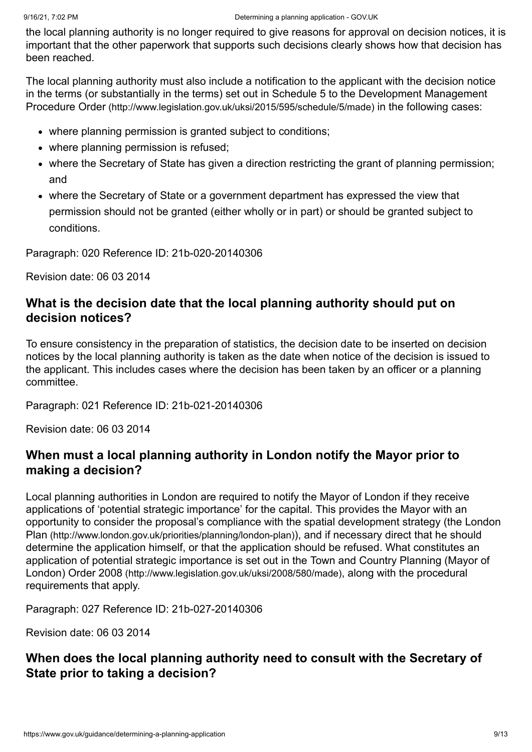the local planning authority is no longer required to give reasons for approval on decision notices, it is important that the other paperwork that supports such decisions clearly shows how that decision has been reached.

The local planning authority must also include a notification to the applicant with the decision notice [in the terms \(or substantially in the terms\) set out in Schedule 5 to the Development Management](http://www.legislation.gov.uk/uksi/2015/595/schedule/5/made) Procedure Order (http://www.legislation.gov.uk/uksi/2015/595/schedule/5/made) in the following cases:

- where planning permission is granted subject to conditions;
- where planning permission is refused;
- where the Secretary of State has given a direction restricting the grant of planning permission; and
- where the Secretary of State or a government department has expressed the view that permission should not be granted (either wholly or in part) or should be granted subject to conditions.

Paragraph: 020 Reference ID: 21b-020-20140306

Revision date: 06 03 2014

## **What is the decision date that the local planning authority should put on decision notices?**

To ensure consistency in the preparation of statistics, the decision date to be inserted on decision notices by the local planning authority is taken as the date when notice of the decision is issued to the applicant. This includes cases where the decision has been taken by an officer or a planning committee.

Paragraph: 021 Reference ID: 21b-021-20140306

Revision date: 06 03 2014

## **When must a local planning authority in London notify the Mayor prior to making a decision?**

Local planning authorities in London are required to notify the Mayor of London if they receive applications of 'potential strategic importance' for the capital. This provides the Mayor with an [opportunity to consider the proposal's compliance with the spatial development strategy \(the London](http://www.london.gov.uk/priorities/planning/london-plan) Plan (http://www.london.gov.uk/priorities/planning/london-plan)), and if necessary direct that he should determine the application himself, or that the application should be refused. What constitutes an [application of potential strategic importance is set out in the Town and Country Planning \(Mayor of](http://www.legislation.gov.uk/uksi/2008/580/made) London) Order 2008 (http://www.legislation.gov.uk/uksi/2008/580/made), along with the procedural requirements that apply.

Paragraph: 027 Reference ID: 21b-027-20140306

Revision date: 06 03 2014

# **When does the local planning authority need to consult with the Secretary of State prior to taking a decision?**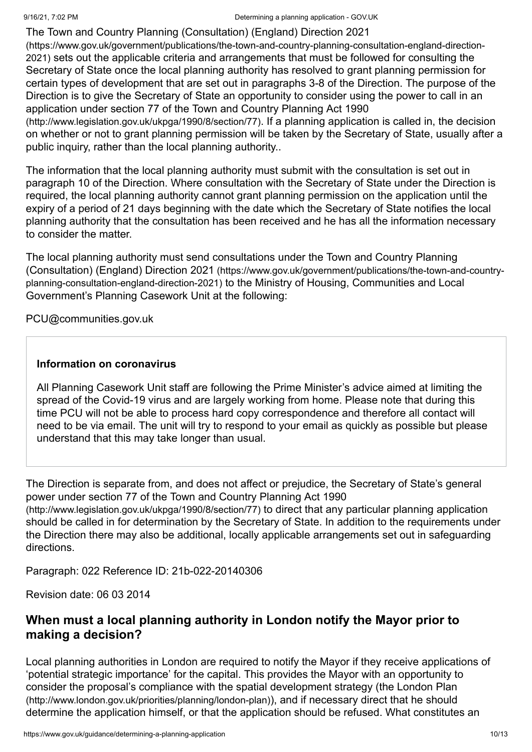The Town and Country Planning (Consultation) (England) Direction 2021 (https://www.gov.uk/government/publications/the-town-and-country-planning-consultation-england-direction-2021) [sets out the applicable criteria and arrangements that must be followed for consulting the](https://www.gov.uk/government/publications/the-town-and-country-planning-consultation-england-direction-2021) Secretary of State once the local planning authority has resolved to grant planning permission for certain types of development that are set out in paragraphs 3-8 of the Direction. The purpose of the Direction is to give the Secretary of State an opportunity to consider using the power to call in an [application under section 77 of the Town and Country Planning Act 1990](http://www.legislation.gov.uk/ukpga/1990/8/section/77)

(http://www.legislation.gov.uk/ukpga/1990/8/section/77). If a planning application is called in, the decision on whether or not to grant planning permission will be taken by the Secretary of State, usually after a public inquiry, rather than the local planning authority..

The information that the local planning authority must submit with the consultation is set out in paragraph 10 of the Direction. Where consultation with the Secretary of State under the Direction is required, the local planning authority cannot grant planning permission on the application until the expiry of a period of 21 days beginning with the date which the Secretary of State notifies the local planning authority that the consultation has been received and he has all the information necessary to consider the matter.

[The local planning authority must send consultations under the Town and Country Planning](https://www.gov.uk/government/publications/the-town-and-country-planning-consultation-england-direction-2021) (Consultation) (England) Direction 2021 (https://www.gov.uk/government/publications/the-town-and-countryplanning-consultation-england-direction-2021) to the Ministry of Housing, Communities and Local Government's Planning Casework Unit at the following:

[PCU@communities.gov.uk](mailto:PCU@communities.gov.uk)

#### **Information on coronavirus**

All Planning Casework Unit staff are following the Prime Minister's advice aimed at limiting the spread of the Covid-19 virus and are largely working from home. Please note that during this time PCU will not be able to process hard copy correspondence and therefore all contact will need to be via email. The unit will try to respond to your email as quickly as possible but please understand that this may take longer than usual.

The Direction is separate from, and does not affect or prejudice, the Secretary of State's general [power under section 77 of the Town and Country Planning Act 1990](http://www.legislation.gov.uk/ukpga/1990/8/section/77) (http://www.legislation.gov.uk/ukpga/1990/8/section/77) to direct that any particular planning application should be called in for determination by the Secretary of State. In addition to the requirements under the Direction there may also be additional, locally applicable arrangements set out in safeguarding directions.

Paragraph: 022 Reference ID: 21b-022-20140306

Revision date: 06 03 2014

# **When must a local planning authority in London notify the Mayor prior to making a decision?**

Local planning authorities in London are required to notify the Mayor if they receive applications of 'potential strategic importance' for the capital. This provides the Mayor with an opportunity to [consider the proposal's compliance with the spatial development strategy \(the London Plan](http://www.london.gov.uk/priorities/planning/london-plan) (http://www.london.gov.uk/priorities/planning/london-plan)), and if necessary direct that he should determine the application himself, or that the application should be refused. What constitutes an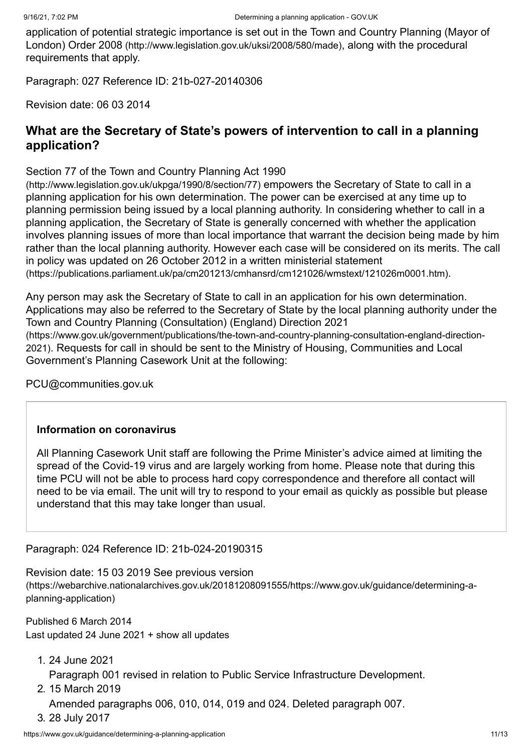[application of potential strategic importance is set out in the Town and Country Planning \(Mayor of](http://www.legislation.gov.uk/uksi/2008/580/made) London) Order 2008 (http://www.legislation.gov.uk/uksi/2008/580/made), along with the procedural requirements that apply.

Paragraph: 027 Reference ID: 21b-027-20140306

Revision date: 06 03 2014

## **What are the Secretary of State's powers of intervention to call in a planning application?**

[Section 77 of the Town and Country Planning Act 1990](http://www.legislation.gov.uk/ukpga/1990/8/section/77)

(http://www.legislation.gov.uk/ukpga/1990/8/section/77) empowers the Secretary of State to call in a planning application for his own determination. The power can be exercised at any time up to planning permission being issued by a local planning authority. In considering whether to call in a planning application, the Secretary of State is generally concerned with whether the application involves planning issues of more than local importance that warrant the decision being made by him rather than the local planning authority. However each case will be considered on its merits. The call in policy was updated on 26 October 2012 in a written ministerial statement [\(https://publications.parliament.uk/pa/cm201213/cmhansrd/cm121026/wmstext/121026m0001.htm\)](https://publications.parliament.uk/pa/cm201213/cmhansrd/cm121026/wmstext/121026m0001.htm).

Any person may ask the Secretary of State to call in an application for his own determination. Applications may also be referred to the Secretary of State by the local planning authority under the Town and Country Planning (Consultation) (England) Direction 2021 [\(https://www.gov.uk/government/publications/the-town-and-country-planning-consultation-england-direction-](https://www.gov.uk/government/publications/the-town-and-country-planning-consultation-england-direction-2021)2021). Requests for call in should be sent to the Ministry of Housing, Communities and Local Government's Planning Casework Unit at the following:

[PCU@communities.gov.uk](mailto:PCU@communities.gov.uk)

#### **Information on coronavirus**

All Planning Casework Unit staff are following the Prime Minister's advice aimed at limiting the spread of the Covid-19 virus and are largely working from home. Please note that during this time PCU will not be able to process hard copy correspondence and therefore all contact will need to be via email. The unit will try to respond to your email as quickly as possible but please understand that this may take longer than usual.

#### Paragraph: 024 Reference ID: 21b-024-20190315

Revision date: 15 03 2019 See previous version [\(https://webarchive.nationalarchives.gov.uk/20181208091555/https://www.gov.uk/guidance/determining-a](https://webarchive.nationalarchives.gov.uk/20181208091555/https://www.gov.uk/guidance/determining-a-planning-application)planning-application)

<span id="page-10-0"></span>Published 6 March 2014 Last updated 24 June 2021 + show all [updates](#page-10-1)

<span id="page-10-1"></span>1. 24 June 2021

Paragraph 001 revised in relation to Public Service Infrastructure Development.

2. 15 March 2019

Amended paragraphs 006, 010, 014, 019 and 024. Deleted paragraph 007.

3. 28 July 2017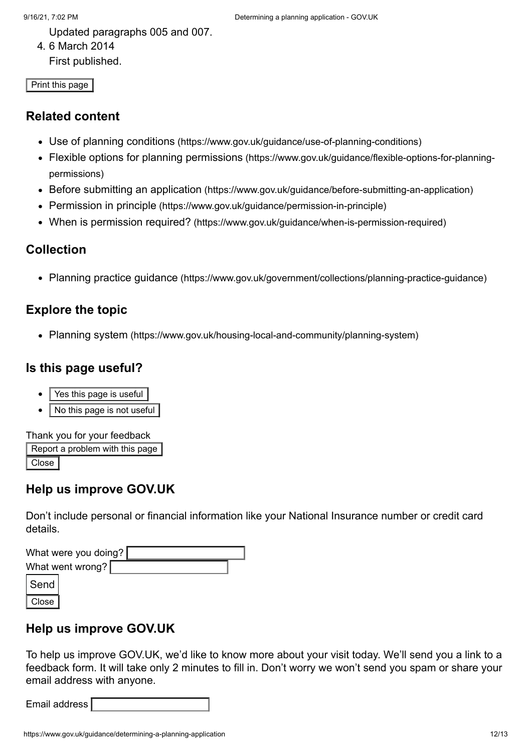Updated paragraphs 005 and 007.

4. 6 March 2014

First published.

Print this page

#### **Related content**

- Use of planning conditions [\(https://www.gov.uk/guidance/use-of-planning-conditions\)](https://www.gov.uk/guidance/use-of-planning-conditions)
- Flexible options for planning permissions [\(https://www.gov.uk/guidance/flexible-options-for-planning](https://www.gov.uk/guidance/flexible-options-for-planning-permissions)permissions)
- Before submitting an application [\(https://www.gov.uk/guidance/before-submitting-an-application\)](https://www.gov.uk/guidance/before-submitting-an-application)
- Permission in principle [\(https://www.gov.uk/guidance/permission-in-principle\)](https://www.gov.uk/guidance/permission-in-principle)
- When is permission required? [\(https://www.gov.uk/guidance/when-is-permission-required\)](https://www.gov.uk/guidance/when-is-permission-required)

# **Collection**

Planning practice guidance [\(https://www.gov.uk/government/collections/planning-practice-guidance\)](https://www.gov.uk/government/collections/planning-practice-guidance)

# **Explore the topic**

• Planning system [\(https://www.gov.uk/housing-local-and-community/planning-system\)](https://www.gov.uk/housing-local-and-community/planning-system)

## **Is this page useful?**

- Yes this page is useful
- No this page is not useful

Thank you for your feedback

Report a problem with this page Close

# **Help us improve GOV.UK**

Don't include personal or financial information like your National Insurance number or credit card details.

| What were you doing? |  |  |  |
|----------------------|--|--|--|
| What went wrong?     |  |  |  |
| Send                 |  |  |  |
| Close                |  |  |  |

# **Help us improve GOV.UK**

To help us improve GOV.UK, we'd like to know more about your visit today. We'll send you a link to a feedback form. It will take only 2 minutes to fill in. Don't worry we won't send you spam or share your email address with anyone.

| Email address I |  |
|-----------------|--|
|                 |  |